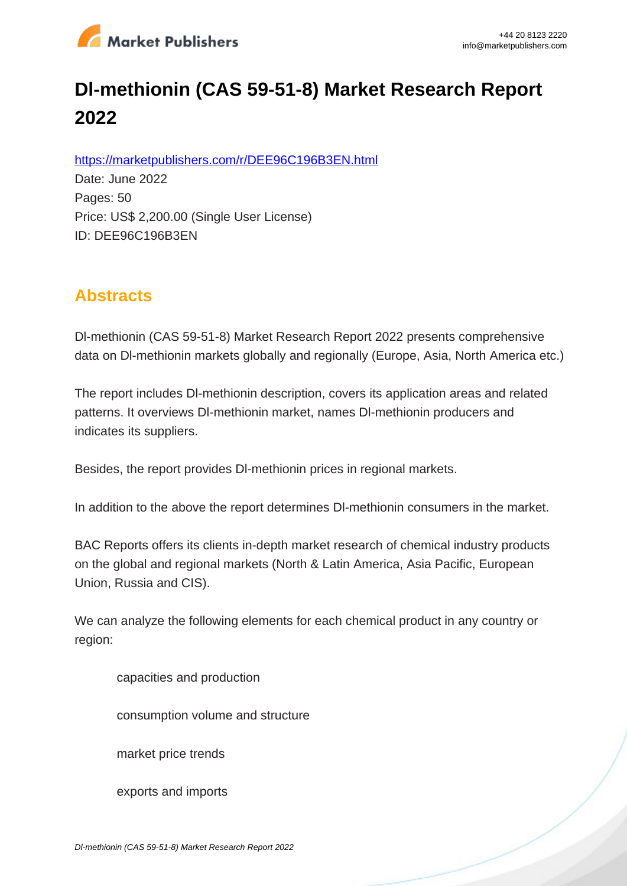

# **Dl-methionin (CAS 59-51-8) Market Research Report 2022**

https://marketpublishers.com/r/DEE96C196B3EN.html

Date: June 2022 Pages: 50 Price: US\$ 2,200.00 (Single User License) ID: DEE96C196B3EN

# **Abstracts**

Dl-methionin (CAS 59-51-8) Market Research Report 2022 presents comprehensive data on Dl-methionin markets globally and regionally (Europe, Asia, North America etc.)

The report includes Dl-methionin description, covers its application areas and related patterns. It overviews Dl-methionin market, names Dl-methionin producers and indicates its suppliers.

Besides, the report provides Dl-methionin prices in regional markets.

In addition to the above the report determines Dl-methionin consumers in the market.

BAC Reports offers its clients in-depth market research of chemical industry products on the global and regional markets (North & Latin America, Asia Pacific, European Union, Russia and CIS).

We can analyze the following elements for each chemical product in any country or region:

capacities and production

consumption volume and structure

market price trends

exports and imports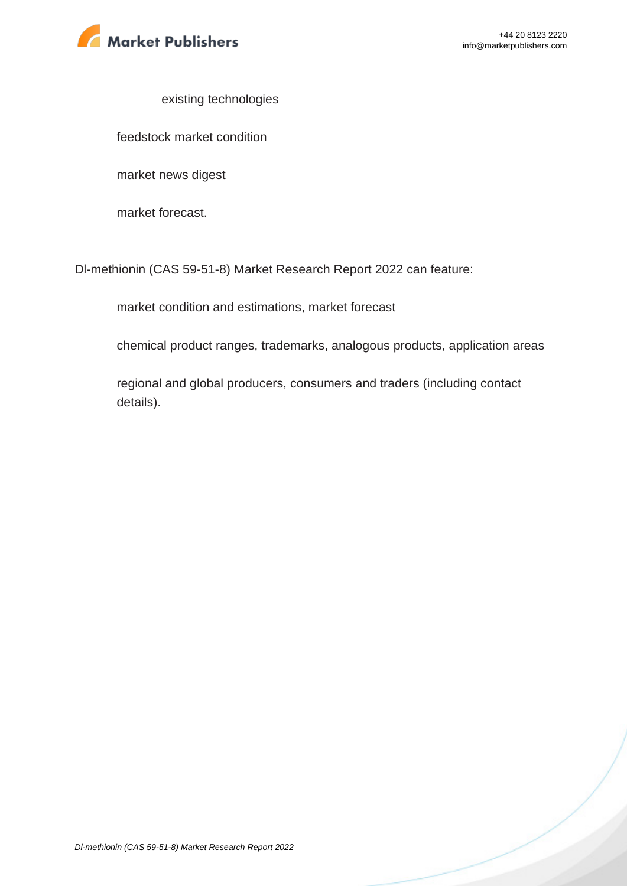

#### existing technologies

feedstock market condition

market news digest

market forecast.

Dl-methionin (CAS 59-51-8) Market Research Report 2022 can feature:

market condition and estimations, market forecast

chemical product ranges, trademarks, analogous products, application areas

regional and global producers, consumers and traders (including contact details).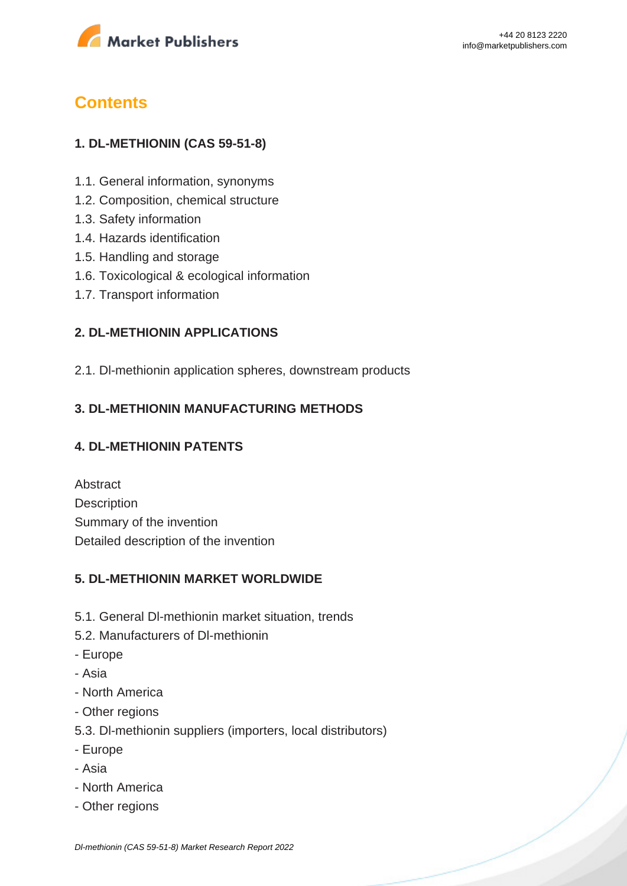

# **Contents**

### **1. DL-METHIONIN (CAS 59-51-8)**

- 1.1. General information, synonyms
- 1.2. Composition, chemical structure
- 1.3. Safety information
- 1.4. Hazards identification
- 1.5. Handling and storage
- 1.6. Toxicological & ecological information
- 1.7. Transport information

## **2. DL-METHIONIN APPLICATIONS**

2.1. Dl-methionin application spheres, downstream products

## **3. DL-METHIONIN MANUFACTURING METHODS**

#### **4. DL-METHIONIN PATENTS**

Abstract **Description** Summary of the invention Detailed description of the invention

#### **5. DL-METHIONIN MARKET WORLDWIDE**

- 5.1. General Dl-methionin market situation, trends
- 5.2. Manufacturers of Dl-methionin
- Europe
- Asia
- North America
- Other regions
- 5.3. Dl-methionin suppliers (importers, local distributors)
- Europe
- Asia
- North America
- Other regions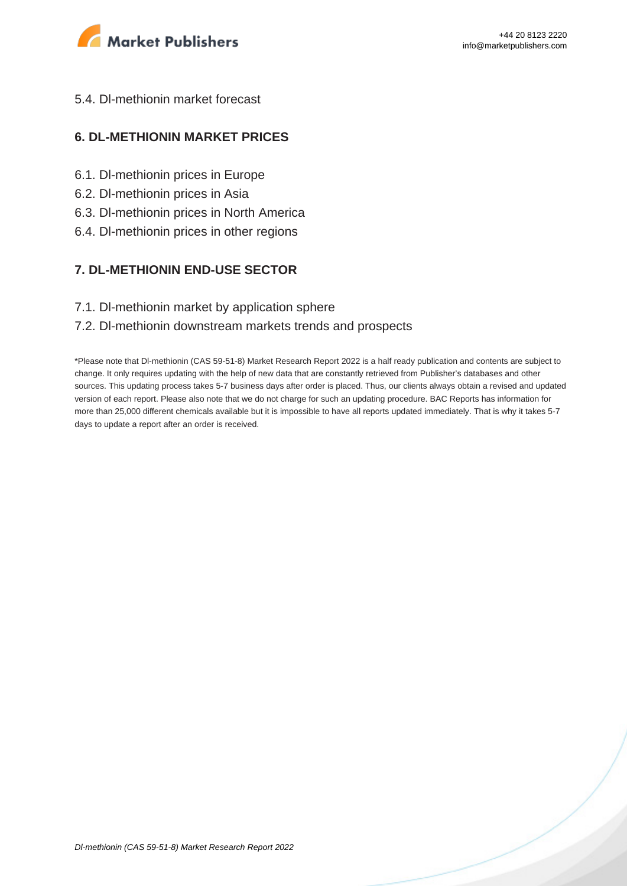

#### 5.4. Dl-methionin market forecast

#### **6. DL-METHIONIN MARKET PRICES**

- 6.1. Dl-methionin prices in Europe
- 6.2. Dl-methionin prices in Asia
- 6.3. Dl-methionin prices in North America
- 6.4. Dl-methionin prices in other regions

#### **7. DL-METHIONIN END-USE SECTOR**

7.1. Dl-methionin market by application sphere

#### 7.2. Dl-methionin downstream markets trends and prospects

\*Please note that Dl-methionin (CAS 59-51-8) Market Research Report 2022 is a half ready publication and contents are subject to change. It only requires updating with the help of new data that are constantly retrieved from Publisher's databases and other sources. This updating process takes 5-7 business days after order is placed. Thus, our clients always obtain a revised and updated version of each report. Please also note that we do not charge for such an updating procedure. BAC Reports has information for more than 25,000 different chemicals available but it is impossible to have all reports updated immediately. That is why it takes 5-7 days to update a report after an order is received.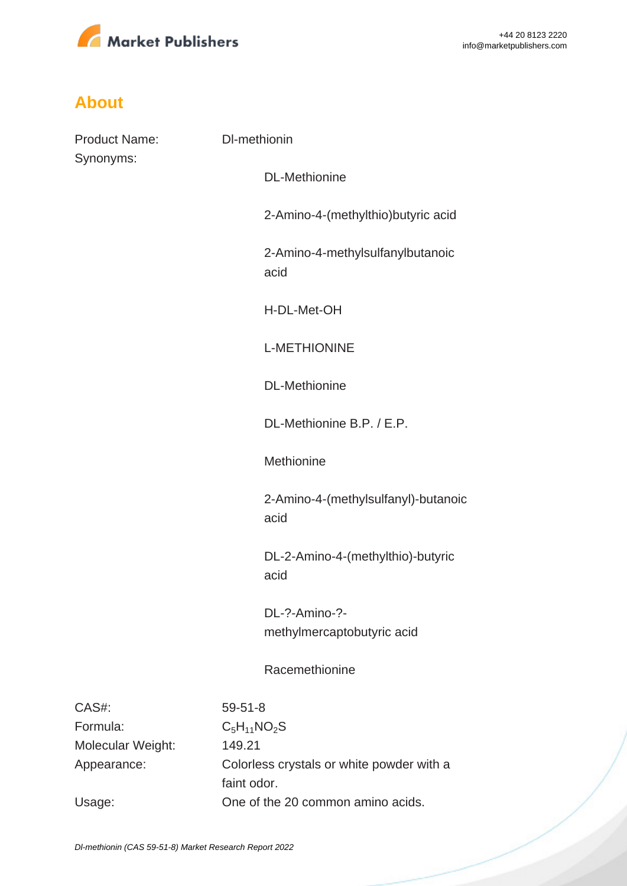

# **About**

| <b>Product Name:</b><br>Synonyms: | DI-methionin                                |
|-----------------------------------|---------------------------------------------|
|                                   | <b>DL-Methionine</b>                        |
|                                   | 2-Amino-4-(methylthio) butyric acid         |
|                                   | 2-Amino-4-methylsulfanylbutanoic<br>acid    |
|                                   | H-DL-Met-OH                                 |
|                                   | <b>L-METHIONINE</b>                         |
|                                   | <b>DL-Methionine</b>                        |
|                                   | DL-Methionine B.P. / E.P.                   |
|                                   | Methionine                                  |
|                                   | 2-Amino-4-(methylsulfanyl)-butanoic<br>acid |
|                                   | DL-2-Amino-4-(methylthio)-butyric<br>acid   |
|                                   | DL-?-Amino-?-<br>methylmercaptobutyric acid |
|                                   | Racemethionine                              |
| CAS#:                             | $59 - 51 - 8$                               |
| Formula:                          | $C_5H_{11}NO_2S$                            |
| Molecular Weight:                 | 149.21                                      |
| Appearance:                       | Colorless crystals or white powder with a   |
|                                   | faint odor.                                 |
| Usage:                            | One of the 20 common amino acids.           |